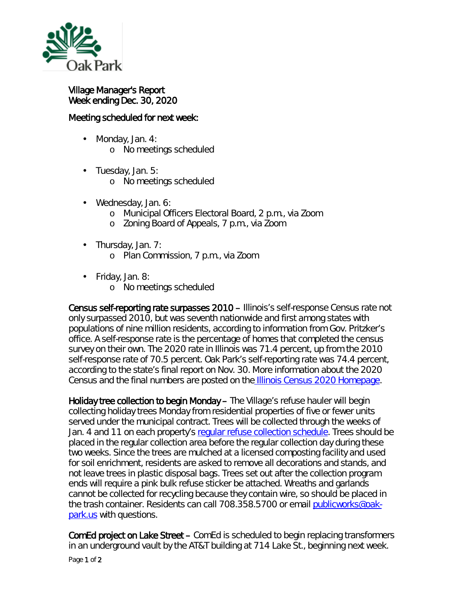

## Village Manager's Report Week ending Dec. 30, 2020

## Meeting scheduled for next week:

- Monday, Jan. 4: ä, o No meetings scheduled
- . Tuesday, Jan. 5:
	- o No meetings scheduled
- Wednesday, Jan. 6:
	- o Municipal Officers Electoral Board, 2 p.m., via Zoom
	- o Zoning Board of Appeals, 7 p.m., via Zoom
- Thursday, Jan. 7: ä,
	- o Plan Commission, 7 p.m., via Zoom
- Friday, Jan. 8:
	- o No meetings scheduled

Census self-reporting rate surpasses 2010 – Illinois's self-response Census rate not only surpassed 2010, but was seventh nationwide and first among states with populations of nine million residents, according to information from Gov. Pritzker's office. A self-response rate is the percentage of homes that completed the census survey on their own. The 2020 rate in Illinois was 71.4 percent, up from the 2010 self-response rate of 70.5 percent. Oak Park's self-reporting rate was 74.4 percent, according to the state's final report on Nov. 30. More information about the 2020 Census and the final numbers are posted on the [Illinois Census 2020 Homepage.](http://mxrelay.oak-park.us:32224/?dmVyPTEuMDAxJiZmODBlN2YzMjNlYzUyNjYyYj01RkUwQjA3N18zNTQzMV81NzhfMSYmNGM0YzkxNDZlYWZjM2YyPTEyMzMmJnVybD1odHRwcyUzQSUyRiUyRnd3dyUyRWRocyUyRXN0YXRlJTJFaWwlMkV1cyUyRnBhZ2UlMkVhc3B4JTNGaXRlbSUzRDExNzkzNQ==)

Holiday tree collection to begin Monday – The Village's refuse hauler will begin collecting holiday trees Monday from residential properties of five or fewer units served under the municipal contract. Trees will be collected through the weeks of Jan. 4 and 11 on each property's [regular refuse collection schedule.](https://www.oak-park.us/village-services/refuse-recycling) Trees should be placed in the regular collection area before the regular collection day during these two weeks. Since the trees are mulched at a licensed composting facility and used for soil enrichment, residents are asked to remove all decorations and stands, and not leave trees in plastic disposal bags. Trees set out after the collection program ends will require a pink bulk refuse sticker be attached. Wreaths and garlands cannot be collected for recycling because they contain wire, so should be placed in the trash container. Residents can call 708.358.5700 or email [publicworks@oak](mailto:publicworks@oak-park.us)[park.us](mailto:publicworks@oak-park.us) with questions.

ComEd project on Lake Street – ComEd is scheduled to begin replacing transformers in an underground vault by the AT&T building at 714 Lake St., beginning next week.